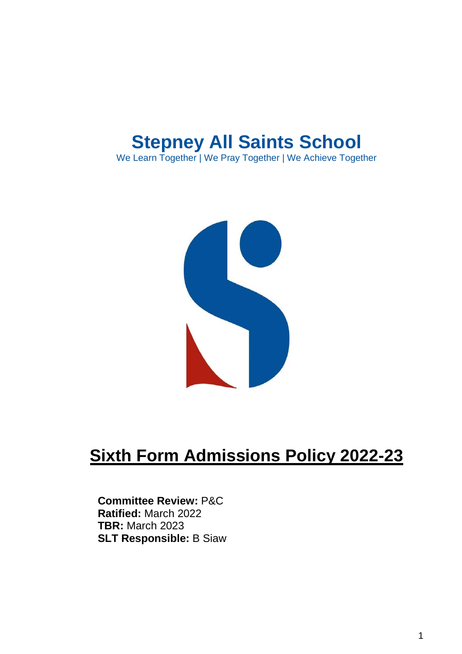# **Stepney All Saints School**

We Learn Together | We Pray Together | We Achieve Together



# **Sixth Form Admissions Policy 2022-23**

## **Committee Review:** P&C **Ratified:** March 2022 **TBR:** March 2023 **SLT Responsible:** B Siaw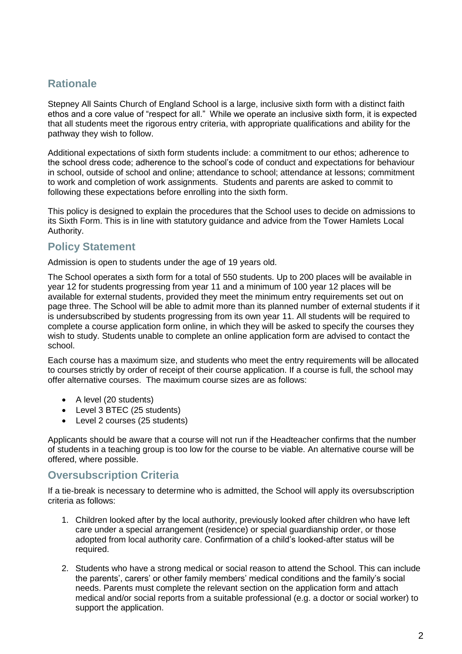# **Rationale**

Stepney All Saints Church of England School is a large, inclusive sixth form with a distinct faith ethos and a core value of "respect for all." While we operate an inclusive sixth form, it is expected that all students meet the rigorous entry criteria, with appropriate qualifications and ability for the pathway they wish to follow.

Additional expectations of sixth form students include: a commitment to our ethos; adherence to the school dress code; adherence to the school's code of conduct and expectations for behaviour in school, outside of school and online; attendance to school; attendance at lessons; commitment to work and completion of work assignments. Students and parents are asked to commit to following these expectations before enrolling into the sixth form.

This policy is designed to explain the procedures that the School uses to decide on admissions to its Sixth Form. This is in line with statutory guidance and advice from the Tower Hamlets Local Authority.

## **Policy Statement**

Admission is open to students under the age of 19 years old.

The School operates a sixth form for a total of 550 students. Up to 200 places will be available in year 12 for students progressing from year 11 and a minimum of 100 year 12 places will be available for external students, provided they meet the minimum entry requirements set out on page three. The School will be able to admit more than its planned number of external students if it is undersubscribed by students progressing from its own year 11. All students will be required to complete a course application form online, in which they will be asked to specify the courses they wish to study. Students unable to complete an online application form are advised to contact the school.

Each course has a maximum size, and students who meet the entry requirements will be allocated to courses strictly by order of receipt of their course application. If a course is full, the school may offer alternative courses. The maximum course sizes are as follows:

- A level (20 students)
- Level 3 BTEC (25 students)
- Level 2 courses (25 students)

Applicants should be aware that a course will not run if the Headteacher confirms that the number of students in a teaching group is too low for the course to be viable. An alternative course will be offered, where possible.

## **Oversubscription Criteria**

If a tie-break is necessary to determine who is admitted, the School will apply its oversubscription criteria as follows:

- 1. Children looked after by the local authority, previously looked after children who have left care under a special arrangement (residence) or special guardianship order, or those adopted from local authority care. Confirmation of a child's looked-after status will be required.
- 2. Students who have a strong medical or social reason to attend the School. This can include the parents', carers' or other family members' medical conditions and the family's social needs. Parents must complete the relevant section on the application form and attach medical and/or social reports from a suitable professional (e.g. a doctor or social worker) to support the application.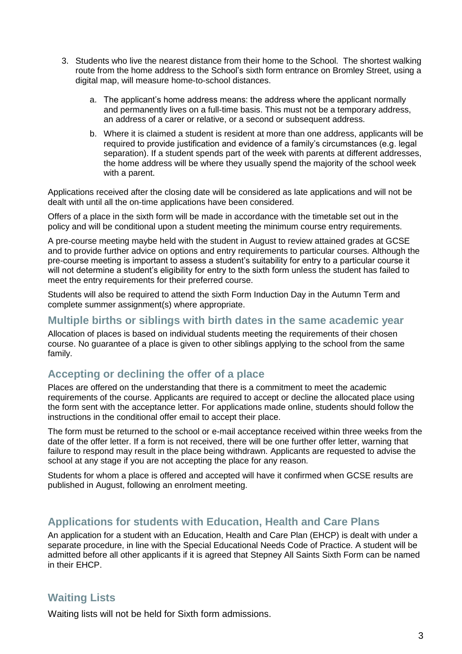- 3. Students who live the nearest distance from their home to the School. The shortest walking route from the home address to the School's sixth form entrance on Bromley Street, using a digital map, will measure home-to-school distances.
	- a. The applicant's home address means: the address where the applicant normally and permanently lives on a full-time basis. This must not be a temporary address, an address of a carer or relative, or a second or subsequent address.
	- b. Where it is claimed a student is resident at more than one address, applicants will be required to provide justification and evidence of a family's circumstances (e.g. legal separation). If a student spends part of the week with parents at different addresses, the home address will be where they usually spend the majority of the school week with a parent.

Applications received after the closing date will be considered as late applications and will not be dealt with until all the on-time applications have been considered.

Offers of a place in the sixth form will be made in accordance with the timetable set out in the policy and will be conditional upon a student meeting the minimum course entry requirements.

A pre-course meeting maybe held with the student in August to review attained grades at GCSE and to provide further advice on options and entry requirements to particular courses. Although the pre-course meeting is important to assess a student's suitability for entry to a particular course it will not determine a student's eligibility for entry to the sixth form unless the student has failed to meet the entry requirements for their preferred course.

Students will also be required to attend the sixth Form Induction Day in the Autumn Term and complete summer assignment(s) where appropriate.

#### **Multiple births or siblings with birth dates in the same academic year**

Allocation of places is based on individual students meeting the requirements of their chosen course. No guarantee of a place is given to other siblings applying to the school from the same family.

## **Accepting or declining the offer of a place**

Places are offered on the understanding that there is a commitment to meet the academic requirements of the course. Applicants are required to accept or decline the allocated place using the form sent with the acceptance letter. For applications made online, students should follow the instructions in the conditional offer email to accept their place.

The form must be returned to the school or e-mail acceptance received within three weeks from the date of the offer letter. If a form is not received, there will be one further offer letter, warning that failure to respond may result in the place being withdrawn. Applicants are requested to advise the school at any stage if you are not accepting the place for any reason.

Students for whom a place is offered and accepted will have it confirmed when GCSE results are published in August, following an enrolment meeting.

### **Applications for students with Education, Health and Care Plans**

An application for a student with an Education, Health and Care Plan (EHCP) is dealt with under a separate procedure, in line with the Special Educational Needs Code of Practice. A student will be admitted before all other applicants if it is agreed that Stepney All Saints Sixth Form can be named in their EHCP.

## **Waiting Lists**

Waiting lists will not be held for Sixth form admissions.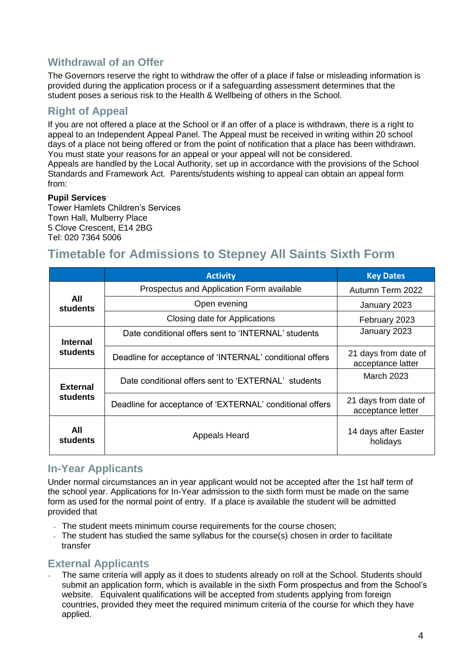## **Withdrawal of an Offer**

The Governors reserve the right to withdraw the offer of a place if false or misleading information is provided during the application process or if a safeguarding assessment determines that the student poses a serious risk to the Health & Wellbeing of others in the School.

# **Right of Appeal**

If you are not offered a place at the School or if an offer of a place is withdrawn, there is a right to appeal to an Independent Appeal Panel. The Appeal must be received in writing within 20 school days of a place not being offered or from the point of notification that a place has been withdrawn. You must state your reasons for an appeal or your appeal will not be considered. Appeals are handled by the Local Authority, set up in accordance with the provisions of the School Standards and Framework Act. Parents/students wishing to appeal can obtain an appeal form from:

#### **Pupil Services**

Tower Hamlets Children's Services Town Hall, Mulberry Place 5 Clove Crescent, E14 2BG Tel: 020 7364 5006

# **Timetable for Admissions to Stepney All Saints Sixth Form**

|                                    | <b>Activity</b>                                          | <b>Key Dates</b>                          |
|------------------------------------|----------------------------------------------------------|-------------------------------------------|
| All<br><b>students</b>             | Prospectus and Application Form available                | Autumn Term 2022                          |
|                                    | Open evening                                             | January 2023                              |
|                                    | Closing date for Applications                            | February 2023                             |
| <b>Internal</b><br>students        | Date conditional offers sent to 'INTERNAL' students      | January 2023                              |
|                                    | Deadline for acceptance of 'INTERNAL' conditional offers | 21 days from date of<br>acceptance latter |
| <b>External</b><br><b>students</b> | Date conditional offers sent to 'EXTERNAL' students      | <b>March 2023</b>                         |
|                                    | Deadline for acceptance of 'EXTERNAL' conditional offers | 21 days from date of<br>acceptance letter |
| All<br>students                    | Appeals Heard                                            | 14 days after Easter<br>holidays          |

## **In-Year Applicants**

Under normal circumstances an in year applicant would not be accepted after the 1st half term of the school year. Applications for In-Year admission to the sixth form must be made on the same form as used for the normal point of entry. If a place is available the student will be admitted provided that

- The student meets minimum course requirements for the course chosen;
- The student has studied the same syllabus for the course(s) chosen in order to facilitate transfer

## **External Applicants**

The same criteria will apply as it does to students already on roll at the School. Students should submit an application form, which is available in the sixth Form prospectus and from the School's website. Equivalent qualifications will be accepted from students applying from foreign countries, provided they meet the required minimum criteria of the course for which they have applied.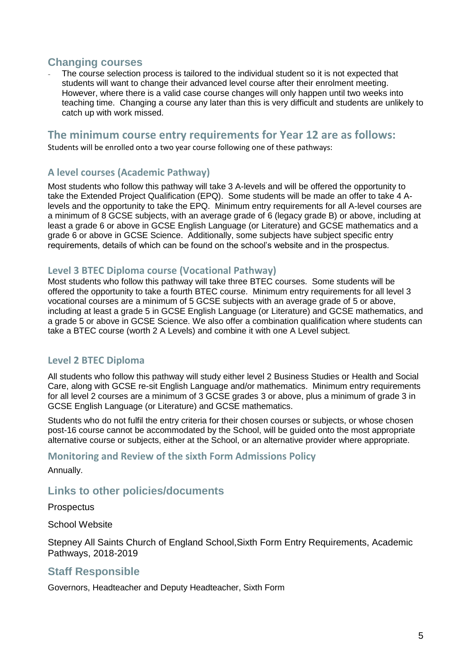### **Changing courses**

The course selection process is tailored to the individual student so it is not expected that students will want to change their advanced level course after their enrolment meeting. However, where there is a valid case course changes will only happen until two weeks into teaching time. Changing a course any later than this is very difficult and students are unlikely to catch up with work missed.

## **The minimum course entry requirements for Year 12 are as follows:**

Students will be enrolled onto a two year course following one of these pathways:

#### **A level courses (Academic Pathway)**

Most students who follow this pathway will take 3 A-levels and will be offered the opportunity to take the Extended Project Qualification (EPQ). Some students will be made an offer to take 4 Alevels and the opportunity to take the EPQ. Minimum entry requirements for all A-level courses are a minimum of 8 GCSE subjects, with an average grade of 6 (legacy grade B) or above, including at least a grade 6 or above in GCSE English Language (or Literature) and GCSE mathematics and a grade 6 or above in GCSE Science. Additionally, some subjects have subject specific entry requirements, details of which can be found on the school's website and in the prospectus.

#### **Level 3 BTEC Diploma course (Vocational Pathway)**

Most students who follow this pathway will take three BTEC courses. Some students will be offered the opportunity to take a fourth BTEC course. Minimum entry requirements for all level 3 vocational courses are a minimum of 5 GCSE subjects with an average grade of 5 or above, including at least a grade 5 in GCSE English Language (or Literature) and GCSE mathematics, and a grade 5 or above in GCSE Science. We also offer a combination qualification where students can take a BTEC course (worth 2 A Levels) and combine it with one A Level subject.

#### **Level 2 BTEC Diploma**

All students who follow this pathway will study either level 2 Business Studies or Health and Social Care, along with GCSE re-sit English Language and/or mathematics. Minimum entry requirements for all level 2 courses are a minimum of 3 GCSE grades 3 or above, plus a minimum of grade 3 in GCSE English Language (or Literature) and GCSE mathematics.

Students who do not fulfil the entry criteria for their chosen courses or subjects, or whose chosen post-16 course cannot be accommodated by the School, will be guided onto the most appropriate alternative course or subjects, either at the School, or an alternative provider where appropriate.

#### **Monitoring and Review of the sixth Form Admissions Policy**

Annually.

### **Links to other policies/documents**

**Prospectus** 

School Website

Stepney All Saints Church of England School,Sixth Form Entry Requirements, Academic Pathways, 2018-2019

#### **Staff Responsible**

Governors, Headteacher and Deputy Headteacher, Sixth Form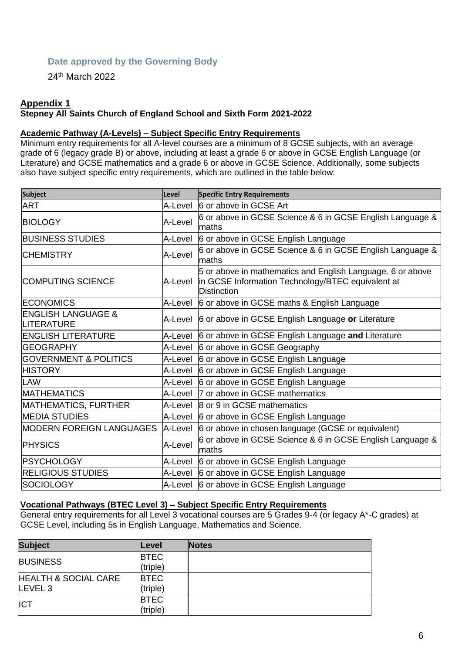#### **Date approved by the Governing Body**

24th March 2022

#### **Appendix 1**

#### **Stepney All Saints Church of England School and Sixth Form 2021-2022**

#### **Academic Pathway (A-Levels) – Subject Specific Entry Requirements**

Minimum entry requirements for all A-level courses are a minimum of 8 GCSE subjects, with an average grade of 6 (legacy grade B) or above, including at least a grade 6 or above in GCSE English Language (or Literature) and GCSE mathematics and a grade 6 or above in GCSE Science. Additionally, some subjects also have subject specific entry requirements, which are outlined in the table below:

| <b>Subject</b>                              | Level   | <b>Specific Entry Requirements</b>                                                                                                    |
|---------------------------------------------|---------|---------------------------------------------------------------------------------------------------------------------------------------|
| <b>ART</b>                                  | A-Level | 6 or above in GCSE Art                                                                                                                |
| <b>BIOLOGY</b>                              | A-Level | 6 or above in GCSE Science & 6 in GCSE English Language &<br>maths                                                                    |
| <b>BUSINESS STUDIES</b>                     | A-Level | 6 or above in GCSE English Language                                                                                                   |
| <b>CHEMISTRY</b>                            | A-Level | 6 or above in GCSE Science & 6 in GCSE English Language &<br>lmaths                                                                   |
| <b>COMPUTING SCIENCE</b>                    | A-Level | 5 or above in mathematics and English Language. 6 or above<br>in GCSE Information Technology/BTEC equivalent at<br><b>Distinction</b> |
| <b>ECONOMICS</b>                            | A-Level | 6 or above in GCSE maths & English Language                                                                                           |
| <b>ENGLISH LANGUAGE &amp;</b><br>LITERATURE |         | A-Level 6 or above in GCSE English Language or Literature                                                                             |
| <b>ENGLISH LITERATURE</b>                   |         | A-Level 6 or above in GCSE English Language and Literature                                                                            |
| <b>GEOGRAPHY</b>                            |         | A-Level 6 or above in GCSE Geography                                                                                                  |
| <b>GOVERNMENT &amp; POLITICS</b>            | A-Level | 6 or above in GCSE English Language                                                                                                   |
| <b>HISTORY</b>                              |         | A-Level 6 or above in GCSE English Language                                                                                           |
| <b>LAW</b>                                  | A-Level | 6 or above in GCSE English Language                                                                                                   |
| <b>MATHEMATICS</b>                          | A-Level | 7 or above in GCSE mathematics                                                                                                        |
| MATHEMATICS, FURTHER                        | A-Level | 8 or 9 in GCSE mathematics                                                                                                            |
| <b>MEDIA STUDIES</b>                        |         | A-Level 6 or above in GCSE English Language                                                                                           |
| MODERN FOREIGN LANGUAGES                    | A-Level | 6 or above in chosen language (GCSE or equivalent)                                                                                    |
| <b>PHYSICS</b>                              | A-Level | 6 or above in GCSE Science & 6 in GCSE English Language &<br>maths                                                                    |
| <b>PSYCHOLOGY</b>                           | A-Level | 6 or above in GCSE English Language                                                                                                   |
| <b>RELIGIOUS STUDIES</b>                    | A-Level | 6 or above in GCSE English Language                                                                                                   |
| SOCIOLOGY                                   |         | A-Level 6 or above in GCSE English Language                                                                                           |

#### **Vocational Pathways (BTEC Level 3) – Subject Specific Entry Requirements**

General entry requirements for all Level 3 vocational courses are 5 Grades 9-4 (or legacy A\*-C grades) at GCSE Level, including 5s in English Language, Mathematics and Science.

| <b>Subject</b>                  | Level       | <b>Notes</b> |
|---------------------------------|-------------|--------------|
| <b>BUSINESS</b>                 | <b>BTEC</b> |              |
|                                 | (triple)    |              |
| <b>HEALTH &amp; SOCIAL CARE</b> | <b>BTEC</b> |              |
| LEVEL <sub>3</sub>              | (triple)    |              |
| <b>ICT</b>                      | <b>BTEC</b> |              |
|                                 | (triple)    |              |